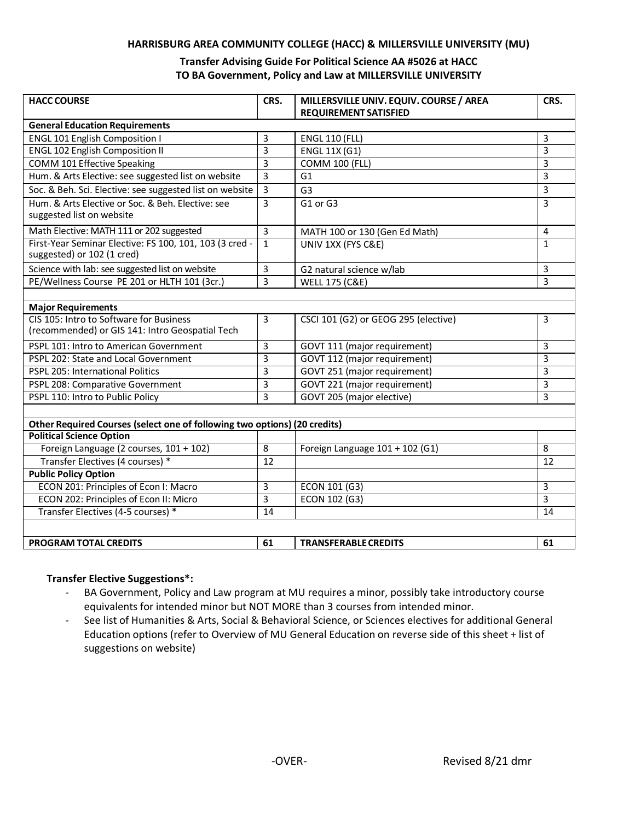#### **HARRISBURG AREA COMMUNITY COLLEGE (HACC) & MILLERSVILLE UNIVERSITY (MU)**

### **Transfer Advising Guide For Political Science AA #5026 at HACC TO BA Government, Policy and Law at MILLERSVILLE UNIVERSITY**

| <b>HACC COURSE</b>                                                                         | CRS.           | MILLERSVILLE UNIV. EQUIV. COURSE / AREA | CRS.           |
|--------------------------------------------------------------------------------------------|----------------|-----------------------------------------|----------------|
| <b>REQUIREMENT SATISFIED</b>                                                               |                |                                         |                |
| <b>General Education Requirements</b>                                                      |                |                                         |                |
| <b>ENGL 101 English Composition I</b>                                                      | 3              | <b>ENGL 110 (FLL)</b>                   | 3              |
| <b>ENGL 102 English Composition II</b>                                                     | 3              | <b>ENGL 11X (G1)</b>                    | 3              |
| COMM 101 Effective Speaking                                                                | 3              | <b>COMM 100 (FLL)</b>                   | 3              |
| Hum. & Arts Elective: see suggested list on website                                        | 3              | G <sub>1</sub>                          | $\overline{3}$ |
| Soc. & Beh. Sci. Elective: see suggested list on website                                   | 3              | G <sub>3</sub>                          | $\overline{3}$ |
| Hum. & Arts Elective or Soc. & Beh. Elective: see<br>suggested list on website             | 3              | G1 or G3                                | 3              |
| Math Elective: MATH 111 or 202 suggested                                                   | $\overline{3}$ | MATH 100 or 130 (Gen Ed Math)           | 4              |
| First-Year Seminar Elective: FS 100, 101, 103 (3 cred -<br>suggested) or 102 (1 cred)      | $\mathbf{1}$   | UNIV 1XX (FYS C&E)                      | $\mathbf{1}$   |
| Science with lab: see suggested list on website                                            | 3              | G2 natural science w/lab                | $\overline{3}$ |
| PE/Wellness Course PE 201 or HLTH 101 (3cr.)                                               | $\overline{3}$ | <b>WELL 175 (C&amp;E)</b>               | $\overline{3}$ |
|                                                                                            |                |                                         |                |
| <b>Major Requirements</b>                                                                  |                |                                         |                |
| CIS 105: Intro to Software for Business<br>(recommended) or GIS 141: Intro Geospatial Tech | 3              | CSCI 101 (G2) or GEOG 295 (elective)    | 3              |
| PSPL 101: Intro to American Government                                                     | 3              | GOVT 111 (major requirement)            | 3              |
| PSPL 202: State and Local Government                                                       | З              | GOVT 112 (major requirement)            | 3              |
| PSPL 205: International Politics                                                           | 3              | GOVT 251 (major requirement)            | 3              |
| PSPL 208: Comparative Government                                                           | $\overline{3}$ | GOVT 221 (major requirement)            | 3              |
| PSPL 110: Intro to Public Policy                                                           | $\overline{3}$ | GOVT 205 (major elective)               | 3              |
|                                                                                            |                |                                         |                |
| Other Required Courses (select one of following two options) (20 credits)                  |                |                                         |                |
| <b>Political Science Option</b>                                                            |                |                                         |                |
| Foreign Language (2 courses, 101 + 102)                                                    | 8              | Foreign Language 101 + 102 (G1)         | 8              |
| Transfer Electives (4 courses) *                                                           | 12             |                                         | 12             |
| <b>Public Policy Option</b>                                                                |                |                                         |                |
| ECON 201: Principles of Econ I: Macro                                                      | $\overline{3}$ | ECON 101 (G3)                           | $\overline{3}$ |
| ECON 202: Principles of Econ II: Micro                                                     | $\overline{3}$ | ECON 102 (G3)                           | 3              |
| Transfer Electives (4-5 courses) *                                                         | 14             |                                         | 14             |
|                                                                                            |                |                                         |                |
| PROGRAM TOTAL CREDITS                                                                      | 61             | <b>TRANSFERABLE CREDITS</b>             | 61             |

#### **Transfer Elective Suggestions\*:**

- BA Government, Policy and Law program at MU requires a minor, possibly take introductory course equivalents for intended minor but NOT MORE than 3 courses from intended minor.
- See list of Humanities & Arts, Social & Behavioral Science, or Sciences electives for additional General Education options (refer to Overview of MU General Education on reverse side of this sheet + list of suggestions on website)